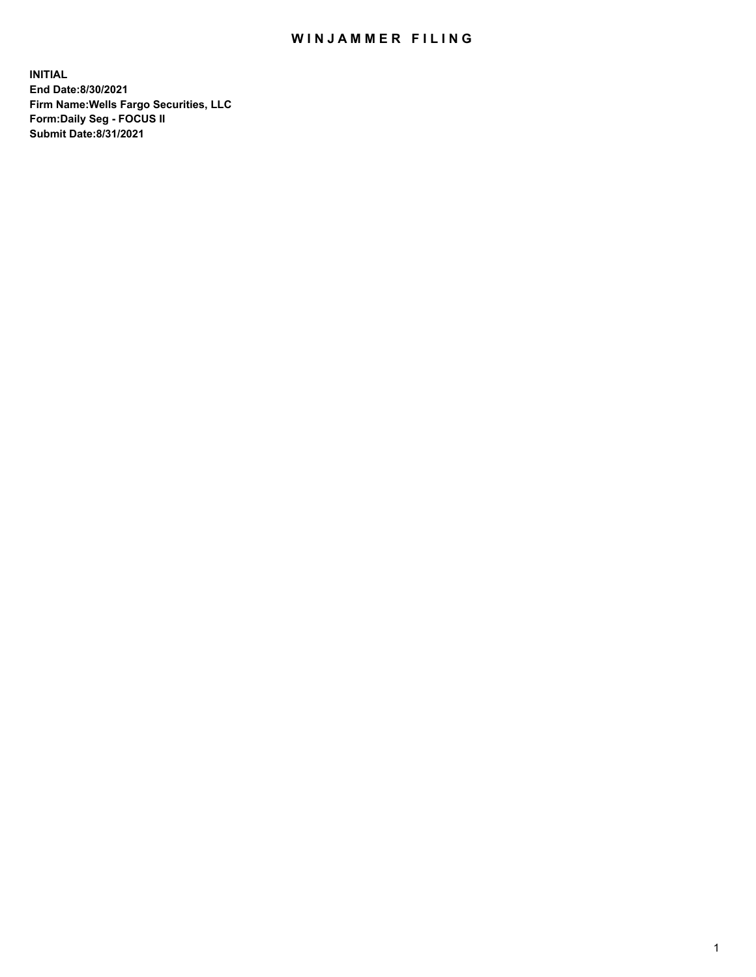## WIN JAMMER FILING

**INITIAL End Date:8/30/2021 Firm Name:Wells Fargo Securities, LLC Form:Daily Seg - FOCUS II Submit Date:8/31/2021**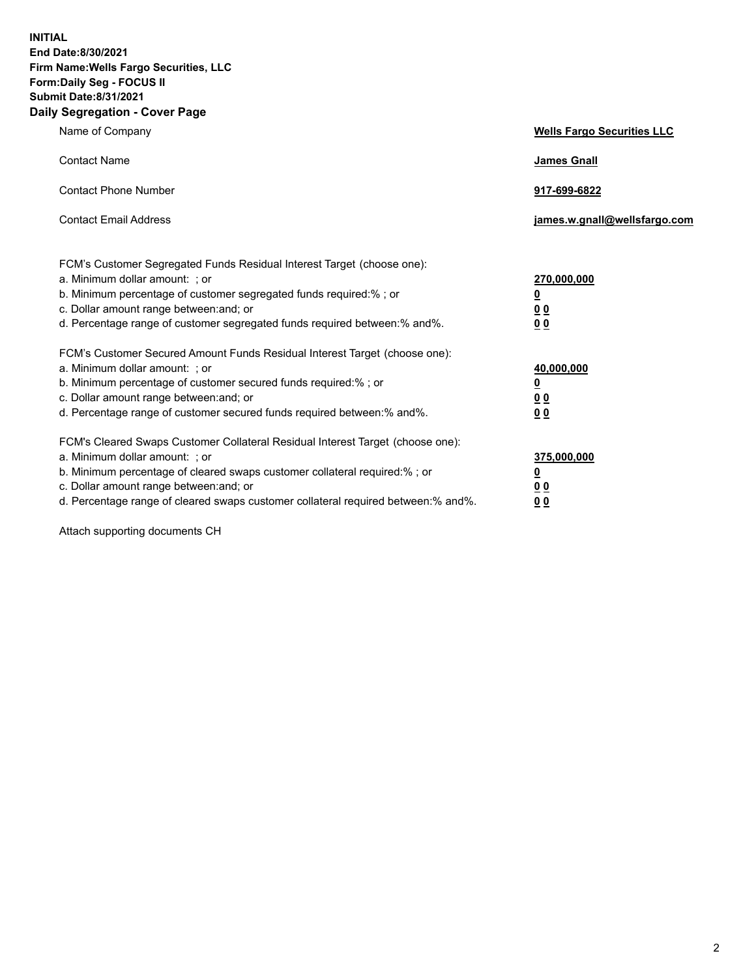**INITIAL End Date:8/30/2021 Firm Name:Wells Fargo Securities, LLC Form:Daily Seg - FOCUS II Submit Date:8/31/2021 Daily Segregation - Cover Page**

| Name of Company                                                                                                                                                                                                                                                                                                                | <b>Wells Fargo Securities LLC</b>                          |
|--------------------------------------------------------------------------------------------------------------------------------------------------------------------------------------------------------------------------------------------------------------------------------------------------------------------------------|------------------------------------------------------------|
| <b>Contact Name</b>                                                                                                                                                                                                                                                                                                            | <b>James Gnall</b>                                         |
| <b>Contact Phone Number</b>                                                                                                                                                                                                                                                                                                    | 917-699-6822                                               |
| <b>Contact Email Address</b>                                                                                                                                                                                                                                                                                                   | james.w.gnall@wellsfargo.com                               |
| FCM's Customer Segregated Funds Residual Interest Target (choose one):<br>a. Minimum dollar amount: ; or<br>b. Minimum percentage of customer segregated funds required:% ; or<br>c. Dollar amount range between: and; or<br>d. Percentage range of customer segregated funds required between: % and %.                       | 270,000,000<br><u>0</u><br><u>00</u><br>0 <sub>0</sub>     |
| FCM's Customer Secured Amount Funds Residual Interest Target (choose one):<br>a. Minimum dollar amount: ; or<br>b. Minimum percentage of customer secured funds required:% ; or<br>c. Dollar amount range between: and; or<br>d. Percentage range of customer secured funds required between: % and %.                         | 40,000,000<br><u>0</u><br>0 <sub>0</sub><br>0 <sub>0</sub> |
| FCM's Cleared Swaps Customer Collateral Residual Interest Target (choose one):<br>a. Minimum dollar amount: ; or<br>b. Minimum percentage of cleared swaps customer collateral required:% ; or<br>c. Dollar amount range between: and; or<br>d. Percentage range of cleared swaps customer collateral required between:% and%. | 375,000,000<br><u>0</u><br>00<br><u>00</u>                 |

Attach supporting documents CH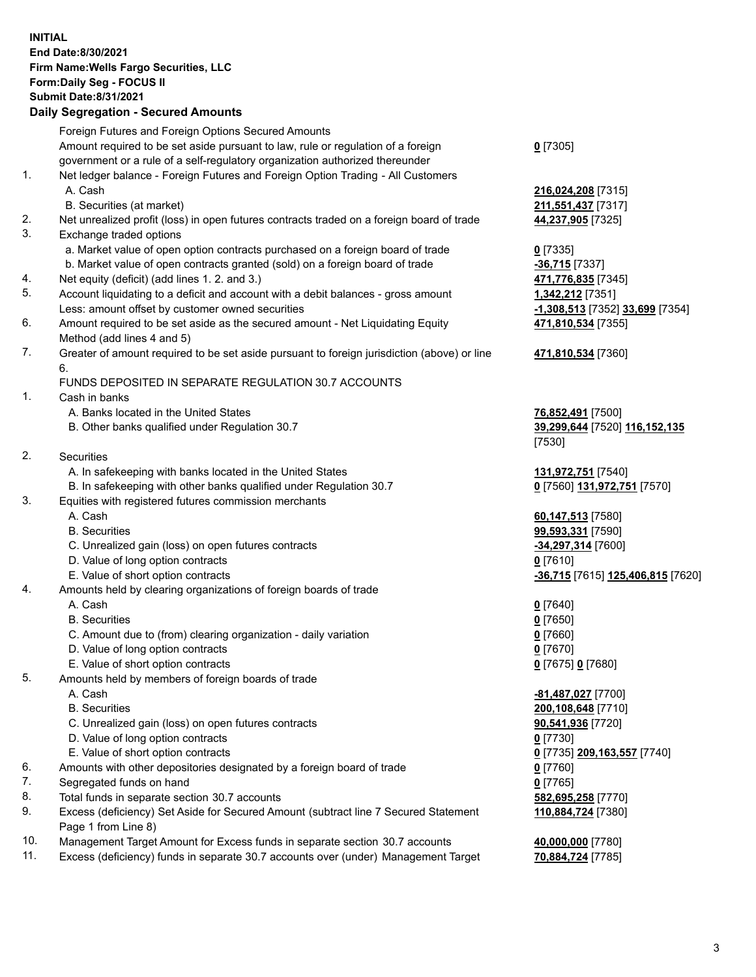**INITIAL End Date:8/30/2021 Firm Name:Wells Fargo Securities, LLC Form:Daily Seg - FOCUS II Submit Date:8/31/2021**

## **Daily Segregation - Secured Amounts**

|    | Foreign Futures and Foreign Options Secured Amounts                                         |                                   |
|----|---------------------------------------------------------------------------------------------|-----------------------------------|
|    | Amount required to be set aside pursuant to law, rule or regulation of a foreign            | $0$ [7305]                        |
|    | government or a rule of a self-regulatory organization authorized thereunder                |                                   |
| 1. | Net ledger balance - Foreign Futures and Foreign Option Trading - All Customers             |                                   |
|    | A. Cash                                                                                     | 216,024,208 [7315]                |
|    | B. Securities (at market)                                                                   | 211,551,437 [7317]                |
| 2. | Net unrealized profit (loss) in open futures contracts traded on a foreign board of trade   | 44,237,905 [7325]                 |
| 3. | Exchange traded options                                                                     |                                   |
|    | a. Market value of open option contracts purchased on a foreign board of trade              | $0$ [7335]                        |
|    | b. Market value of open contracts granted (sold) on a foreign board of trade                | $-36,715$ [7337]                  |
| 4. | Net equity (deficit) (add lines 1. 2. and 3.)                                               | 471,776,835 [7345]                |
| 5. | Account liquidating to a deficit and account with a debit balances - gross amount           | 1,342,212 [7351]                  |
|    | Less: amount offset by customer owned securities                                            | -1,308,513 [7352] 33,699 [7354]   |
| 6. | Amount required to be set aside as the secured amount - Net Liquidating Equity              | 471,810,534 [7355]                |
|    | Method (add lines 4 and 5)                                                                  |                                   |
| 7. | Greater of amount required to be set aside pursuant to foreign jurisdiction (above) or line | 471,810,534 [7360]                |
|    | 6.                                                                                          |                                   |
|    | FUNDS DEPOSITED IN SEPARATE REGULATION 30.7 ACCOUNTS                                        |                                   |
| 1. | Cash in banks                                                                               |                                   |
|    | A. Banks located in the United States                                                       | 76,852,491 [7500]                 |
|    | B. Other banks qualified under Regulation 30.7                                              | 39,299,644 [7520] 116,152,135     |
|    |                                                                                             | [7530]                            |
| 2. | Securities                                                                                  |                                   |
|    | A. In safekeeping with banks located in the United States                                   | 131,972,751 [7540]                |
|    | B. In safekeeping with other banks qualified under Regulation 30.7                          | 0 [7560] 131,972,751 [7570]       |
| 3. | Equities with registered futures commission merchants                                       |                                   |
|    | A. Cash                                                                                     | 60,147,513 [7580]                 |
|    | <b>B.</b> Securities                                                                        | 99,593,331 [7590]                 |
|    | C. Unrealized gain (loss) on open futures contracts                                         | -34,297,314 [7600]                |
|    | D. Value of long option contracts                                                           | $0$ [7610]                        |
|    | E. Value of short option contracts                                                          | -36,715 [7615] 125,406,815 [7620] |
| 4. | Amounts held by clearing organizations of foreign boards of trade                           |                                   |
|    | A. Cash                                                                                     | $0$ [7640]                        |
|    | <b>B.</b> Securities                                                                        | $0$ [7650]                        |
|    | C. Amount due to (from) clearing organization - daily variation                             | $0$ [7660]                        |
|    | D. Value of long option contracts                                                           | $0$ [7670]                        |
|    | E. Value of short option contracts                                                          | 0 [7675] 0 [7680]                 |
| 5. | Amounts held by members of foreign boards of trade                                          |                                   |
|    | A. Cash                                                                                     | -81,487,027 [7700]                |
|    | <b>B.</b> Securities                                                                        | 200,108,648 [7710]                |
|    | C. Unrealized gain (loss) on open futures contracts                                         | 90,541,936 [7720]                 |
|    | D. Value of long option contracts                                                           | $0$ [7730]                        |
|    | E. Value of short option contracts                                                          | 0 [7735] 209,163,557 [7740]       |
| 6. | Amounts with other depositories designated by a foreign board of trade                      | 0 [7760]                          |
| 7. | Segregated funds on hand                                                                    | $0$ [7765]                        |
| 8. | Total funds in separate section 30.7 accounts                                               | 582,695,258 [7770]                |
| 9. | Excess (deficiency) Set Aside for Secured Amount (subtract line 7 Secured Statement         | 110,884,724 [7380]                |
|    | Page 1 from Line 8)                                                                         |                                   |

- 10. Management Target Amount for Excess funds in separate section 30.7 accounts **40,000,000** [7780]
- 11. Excess (deficiency) funds in separate 30.7 accounts over (under) Management Target **70,884,724** [7785]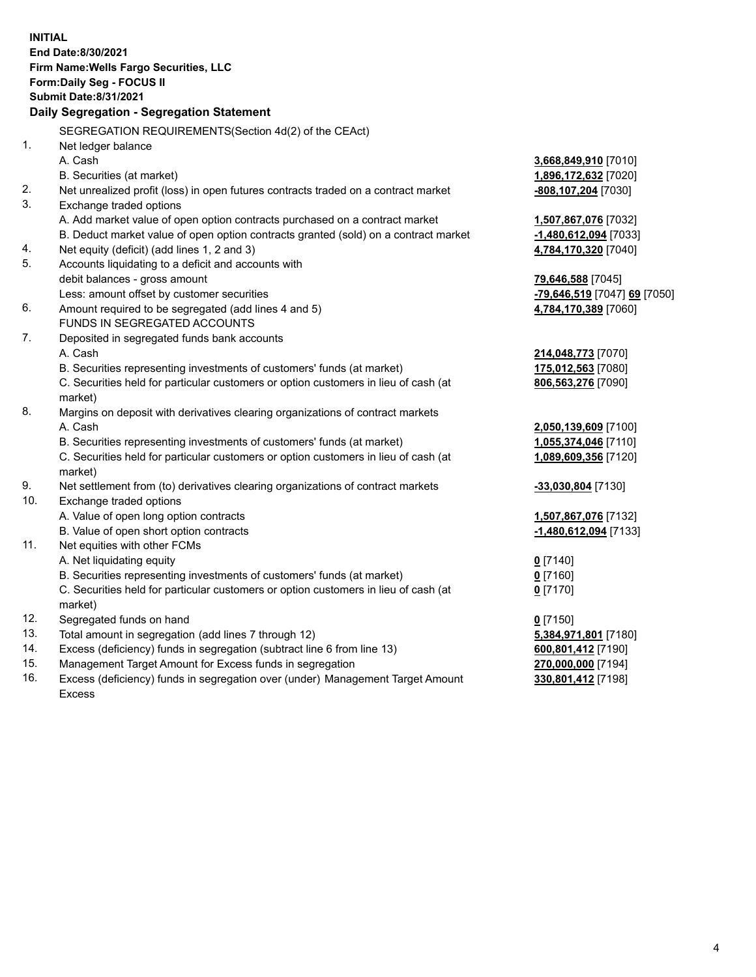**INITIAL End Date:8/30/2021 Firm Name:Wells Fargo Securities, LLC Form:Daily Seg - FOCUS II Submit Date:8/31/2021 Daily Segregation - Segregation Statement** SEGREGATION REQUIREMENTS(Section 4d(2) of the CEAct) 1. Net ledger balance A. Cash **3,668,849,910** [7010] B. Securities (at market) **1,896,172,632** [7020] 2. Net unrealized profit (loss) in open futures contracts traded on a contract market **-808,107,204** [7030] 3. Exchange traded options A. Add market value of open option contracts purchased on a contract market **1,507,867,076** [7032] B. Deduct market value of open option contracts granted (sold) on a contract market **-1,480,612,094** [7033] 4. Net equity (deficit) (add lines 1, 2 and 3) **4,784,170,320** [7040] 5. Accounts liquidating to a deficit and accounts with debit balances - gross amount **79,646,588** [7045] Less: amount offset by customer securities **-79,646,519** [7047] **69** [7050] 6. Amount required to be segregated (add lines 4 and 5) **4,784,170,389** [7060] FUNDS IN SEGREGATED ACCOUNTS 7. Deposited in segregated funds bank accounts A. Cash **214,048,773** [7070] B. Securities representing investments of customers' funds (at market) **175,012,563** [7080] C. Securities held for particular customers or option customers in lieu of cash (at market) **806,563,276** [7090] 8. Margins on deposit with derivatives clearing organizations of contract markets A. Cash **2,050,139,609** [7100] B. Securities representing investments of customers' funds (at market) **1,055,374,046** [7110] C. Securities held for particular customers or option customers in lieu of cash (at market) **1,089,609,356** [7120] 9. Net settlement from (to) derivatives clearing organizations of contract markets **-33,030,804** [7130] 10. Exchange traded options A. Value of open long option contracts **1,507,867,076** [7132] B. Value of open short option contracts **-1,480,612,094** [7133] 11. Net equities with other FCMs A. Net liquidating equity **0** [7140] B. Securities representing investments of customers' funds (at market) **0** [7160] C. Securities held for particular customers or option customers in lieu of cash (at market) **0** [7170] 12. Segregated funds on hand **0** [7150] 13. Total amount in segregation (add lines 7 through 12) **5,384,971,801** [7180] 14. Excess (deficiency) funds in segregation (subtract line 6 from line 13) **600,801,412** [7190] 15. Management Target Amount for Excess funds in segregation **270,000,000** [7194] 16. Excess (deficiency) funds in segregation over (under) Management Target Amount **330,801,412** [7198]

Excess